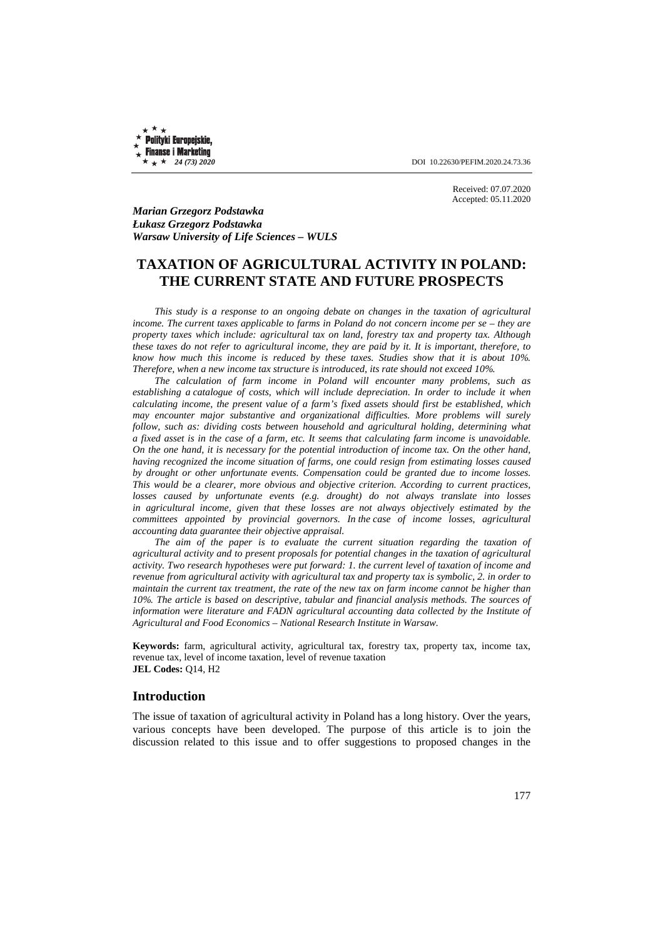**Polityki Europejskie, Finanse i Marketing** 

 $\star \star \star 24$  (73) 2020 **DOI** 10.22630/PEFIM.2020.24.73.36

Received: 07.07.2020 Accepted: 05.11.2020

*Marian Grzegorz Podstawka Łukasz Grzegorz Podstawka Warsaw University of Life Sciences – WULS* 

# **TAXATION OF AGRICULTURAL ACTIVITY IN POLAND: THE CURRENT STATE AND FUTURE PROSPECTS**

*This study is a response to an ongoing debate on changes in the taxation of agricultural income. The current taxes applicable to farms in Poland do not concern income per se – they are property taxes which include: agricultural tax on land, forestry tax and property tax. Although these taxes do not refer to agricultural income, they are paid by it. It is important, therefore, to know how much this income is reduced by these taxes. Studies show that it is about 10%. Therefore, when a new income tax structure is introduced, its rate should not exceed 10%.* 

*The calculation of farm income in Poland will encounter many problems, such as establishing a catalogue of costs, which will include depreciation. In order to include it when calculating income, the present value of a farm's fixed assets should first be established, which may encounter major substantive and organizational difficulties. More problems will surely follow, such as: dividing costs between household and agricultural holding, determining what a fixed asset is in the case of a farm, etc. It seems that calculating farm income is unavoidable. On the one hand, it is necessary for the potential introduction of income tax. On the other hand, having recognized the income situation of farms, one could resign from estimating losses caused by drought or other unfortunate events. Compensation could be granted due to income losses. This would be a clearer, more obvious and objective criterion. According to current practices, losses caused by unfortunate events (e.g. drought) do not always translate into losses in agricultural income, given that these losses are not always objectively estimated by the committees appointed by provincial governors. In the case of income losses, agricultural accounting data guarantee their objective appraisal.* 

*The aim of the paper is to evaluate the current situation regarding the taxation of agricultural activity and to present proposals for potential changes in the taxation of agricultural activity. Two research hypotheses were put forward: 1. the current level of taxation of income and revenue from agricultural activity with agricultural tax and property tax is symbolic, 2. in order to maintain the current tax treatment, the rate of the new tax on farm income cannot be higher than 10%. The article is based on descriptive, tabular and financial analysis methods. The sources of information were literature and FADN agricultural accounting data collected by the Institute of Agricultural and Food Economics – National Research Institute in Warsaw.*

**Keywords:** farm, agricultural activity, agricultural tax, forestry tax, property tax, income tax, revenue tax, level of income taxation, level of revenue taxation **JEL Codes:** Q14, H2

### **Introduction**

The issue of taxation of agricultural activity in Poland has a long history. Over the years, various concepts have been developed. The purpose of this article is to join the discussion related to this issue and to offer suggestions to proposed changes in the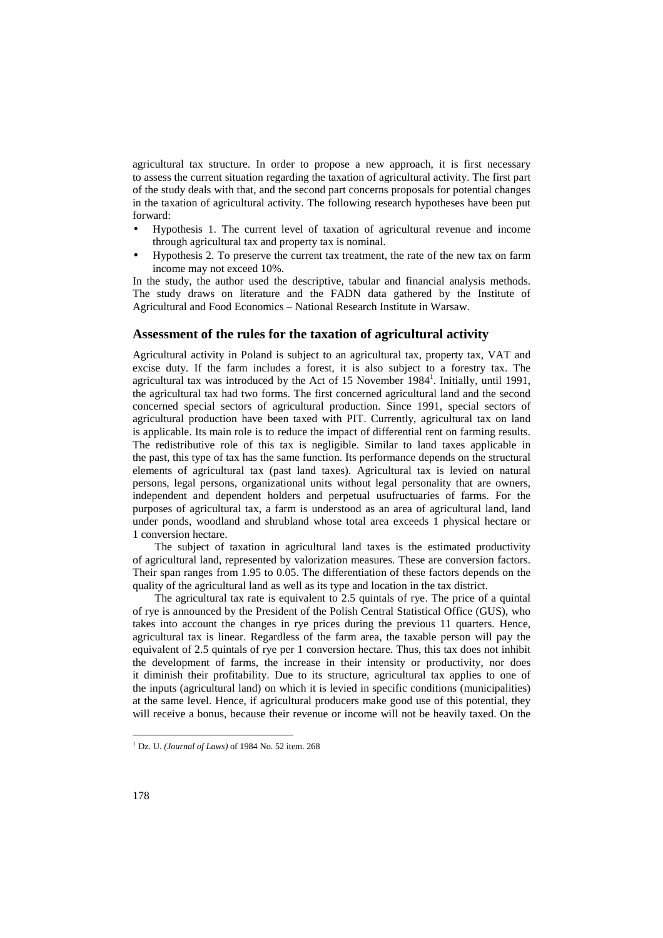agricultural tax structure. In order to propose a new approach, it is first necessary to assess the current situation regarding the taxation of agricultural activity. The first part of the study deals with that, and the second part concerns proposals for potential changes in the taxation of agricultural activity. The following research hypotheses have been put forward:

- Hypothesis 1. The current level of taxation of agricultural revenue and income through agricultural tax and property tax is nominal.
- Hypothesis 2. To preserve the current tax treatment, the rate of the new tax on farm income may not exceed 10%.

In the study, the author used the descriptive, tabular and financial analysis methods. The study draws on literature and the FADN data gathered by the Institute of Agricultural and Food Economics – National Research Institute in Warsaw.

### **Assessment of the rules for the taxation of agricultural activity**

Agricultural activity in Poland is subject to an agricultural tax, property tax, VAT and excise duty. If the farm includes a forest, it is also subject to a forestry tax. The agricultural tax was introduced by the Act of 15 November 1984<sup>1</sup>. Initially, until 1991, the agricultural tax had two forms. The first concerned agricultural land and the second concerned special sectors of agricultural production. Since 1991, special sectors of agricultural production have been taxed with PIT. Currently, agricultural tax on land is applicable. Its main role is to reduce the impact of differential rent on farming results. The redistributive role of this tax is negligible. Similar to land taxes applicable in the past, this type of tax has the same function. Its performance depends on the structural elements of agricultural tax (past land taxes). Agricultural tax is levied on natural persons, legal persons, organizational units without legal personality that are owners, independent and dependent holders and perpetual usufructuaries of farms. For the purposes of agricultural tax, a farm is understood as an area of agricultural land, land under ponds, woodland and shrubland whose total area exceeds 1 physical hectare or 1 conversion hectare.

The subject of taxation in agricultural land taxes is the estimated productivity of agricultural land, represented by valorization measures. These are conversion factors. Their span ranges from 1.95 to 0.05. The differentiation of these factors depends on the quality of the agricultural land as well as its type and location in the tax district.

The agricultural tax rate is equivalent to 2.5 quintals of rye. The price of a quintal of rye is announced by the President of the Polish Central Statistical Office (GUS), who takes into account the changes in rye prices during the previous 11 quarters. Hence, agricultural tax is linear. Regardless of the farm area, the taxable person will pay the equivalent of 2.5 quintals of rye per 1 conversion hectare. Thus, this tax does not inhibit the development of farms, the increase in their intensity or productivity, nor does it diminish their profitability. Due to its structure, agricultural tax applies to one of the inputs (agricultural land) on which it is levied in specific conditions (municipalities) at the same level. Hence, if agricultural producers make good use of this potential, they will receive a bonus, because their revenue or income will not be heavily taxed. On the

 $\overline{a}$ 

<sup>1</sup> Dz. U. *(Journal of Laws)* of 1984 No. 52 item. 268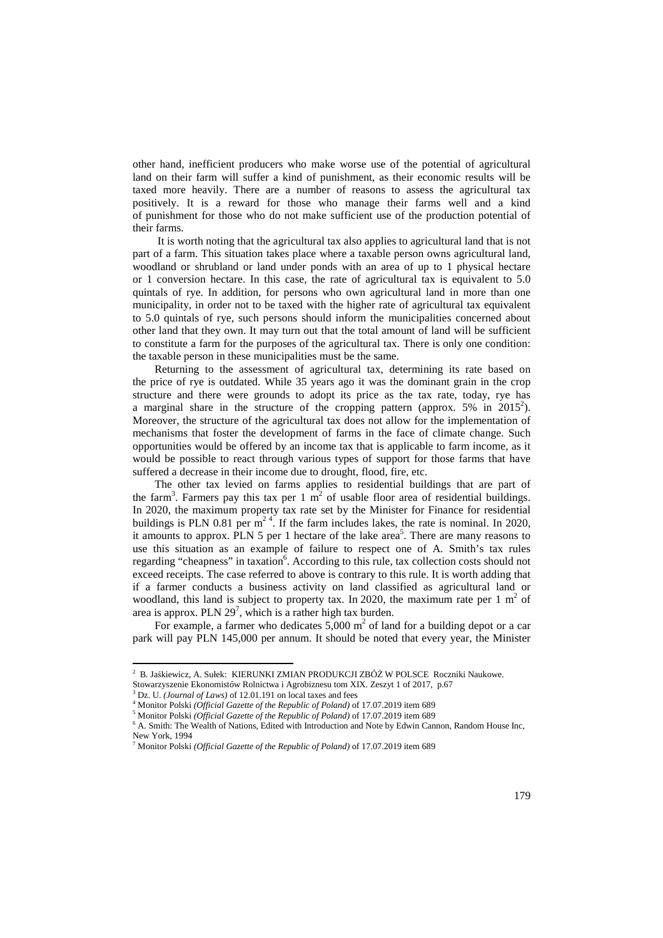other hand, inefficient producers who make worse use of the potential of agricultural land on their farm will suffer a kind of punishment, as their economic results will be taxed more heavily. There are a number of reasons to assess the agricultural tax positively. It is a reward for those who manage their farms well and a kind of punishment for those who do not make sufficient use of the production potential of their farms.

 It is worth noting that the agricultural tax also applies to agricultural land that is not part of a farm. This situation takes place where a taxable person owns agricultural land, woodland or shrubland or land under ponds with an area of up to 1 physical hectare or 1 conversion hectare. In this case, the rate of agricultural tax is equivalent to 5.0 quintals of rye. In addition, for persons who own agricultural land in more than one municipality, in order not to be taxed with the higher rate of agricultural tax equivalent to 5.0 quintals of rye, such persons should inform the municipalities concerned about other land that they own. It may turn out that the total amount of land will be sufficient to constitute a farm for the purposes of the agricultural tax. There is only one condition: the taxable person in these municipalities must be the same.

Returning to the assessment of agricultural tax, determining its rate based on the price of rye is outdated. While 35 years ago it was the dominant grain in the crop structure and there were grounds to adopt its price as the tax rate, today, rye has a marginal share in the structure of the cropping pattern (approx.  $5\%$  in  $2015^2$ ). Moreover, the structure of the agricultural tax does not allow for the implementation of mechanisms that foster the development of farms in the face of climate change. Such opportunities would be offered by an income tax that is applicable to farm income, as it would be possible to react through various types of support for those farms that have suffered a decrease in their income due to drought, flood, fire, etc.

The other tax levied on farms applies to residential buildings that are part of the farm<sup>3</sup>. Farmers pay this tax per 1  $\overline{m}^2$  of usable floor area of residential buildings. In 2020, the maximum property tax rate set by the Minister for Finance for residential buildings is PLN 0.81 per  $m^{2.4}$ . If the farm includes lakes, the rate is nominal. In 2020, it amounts to approx. PLN 5 per 1 hectare of the lake area<sup>5</sup>. There are many reasons to use this situation as an example of failure to respect one of A. Smith's tax rules regarding "cheapness" in taxation<sup>6</sup>. According to this rule, tax collection costs should not exceed receipts. The case referred to above is contrary to this rule. It is worth adding that if a farmer conducts a business activity on land classified as agricultural land or woodland, this land is subject to property tax. In 2020, the maximum rate per 1  $m<sup>2</sup>$  of area is approx. PLN  $29^7$ , which is a rather high tax burden.

For example, a farmer who dedicates  $5,000 \text{ m}^2$  of land for a building depot or a car park will pay PLN 145,000 per annum. It should be noted that every year, the Minister

l

<sup>2</sup> B. Jaśkiewicz, A. Sułek: KIERUNKI ZMIAN PRODUKCJI ZBÓŻ W POLSCE Roczniki Naukowe.

Stowarzyszenie Ekonomistów Rolnictwa i Agrobiznesu tom XIX. Zeszyt 1 of 2017, p.67

<sup>3</sup> Dz. U. *(Journal of Laws)* of 12.01.191 on local taxes and fees

<sup>4</sup> Monitor Polski *(Official Gazette of the Republic of Poland)* of 17.07.2019 item 689

<sup>5</sup> Monitor Polski *(Official Gazette of the Republic of Poland)* of 17.07.2019 item 689

<sup>&</sup>lt;sup>6</sup> A. Smith: The Wealth of Nations, Edited with Introduction and Note by Edwin Cannon, Random House Inc, New York, 1994

<sup>7</sup> Monitor Polski *(Official Gazette of the Republic of Poland)* of 17.07.2019 item 689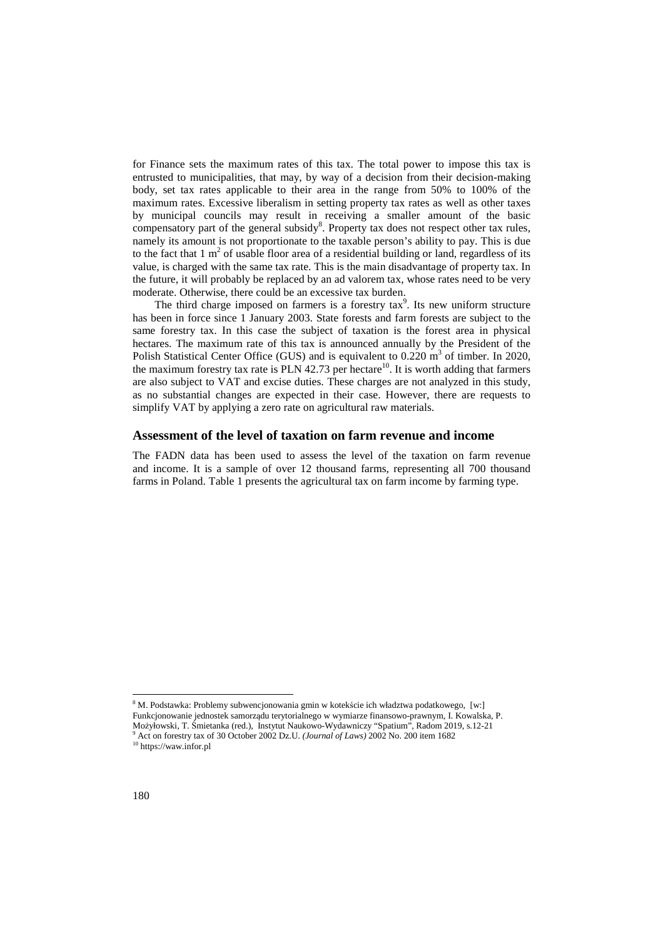for Finance sets the maximum rates of this tax. The total power to impose this tax is entrusted to municipalities, that may, by way of a decision from their decision-making body, set tax rates applicable to their area in the range from 50% to 100% of the maximum rates. Excessive liberalism in setting property tax rates as well as other taxes by municipal councils may result in receiving a smaller amount of the basic compensatory part of the general subsidy<sup>8</sup>. Property tax does not respect other tax rules, namely its amount is not proportionate to the taxable person's ability to pay. This is due to the fact that  $1 \text{ m}^2$  of usable floor area of a residential building or land, regardless of its value, is charged with the same tax rate. This is the main disadvantage of property tax. In the future, it will probably be replaced by an ad valorem tax, whose rates need to be very moderate. Otherwise, there could be an excessive tax burden.

The third charge imposed on farmers is a forestry  $\text{tax}^9$ . Its new uniform structure has been in force since 1 January 2003. State forests and farm forests are subject to the same forestry tax. In this case the subject of taxation is the forest area in physical hectares. The maximum rate of this tax is announced annually by the President of the Polish Statistical Center Office (GUS) and is equivalent to  $0.220 \text{ m}^3$  of timber. In 2020, the maximum forestry tax rate is  $PLN$  42.73 per hectare<sup>10</sup>. It is worth adding that farmers are also subject to VAT and excise duties. These charges are not analyzed in this study, as no substantial changes are expected in their case. However, there are requests to simplify VAT by applying a zero rate on agricultural raw materials.

### **Assessment of the level of taxation on farm revenue and income**

The FADN data has been used to assess the level of the taxation on farm revenue and income. It is a sample of over 12 thousand farms, representing all 700 thousand farms in Poland. Table 1 presents the agricultural tax on farm income by farming type.

 $\overline{a}$ 

<sup>&</sup>lt;sup>8</sup> M. Podstawka: Problemy subwencjonowania gmin w kotekście ich władztwa podatkowego, [w:] Funkcjonowanie jednostek samorządu terytorialnego w wymiarze finansowo-prawnym, I. Kowalska, P. Możyłowski, T. Śmietanka (red.), Instytut Naukowo-Wydawniczy "Spatium", Radom 2019, s.12-21 9 Act on forestry tax of 30 October 2002 Dz.U. *(Journal of Laws)* 2002 No. 200 item 1682 <sup>10</sup> https://waw.infor.pl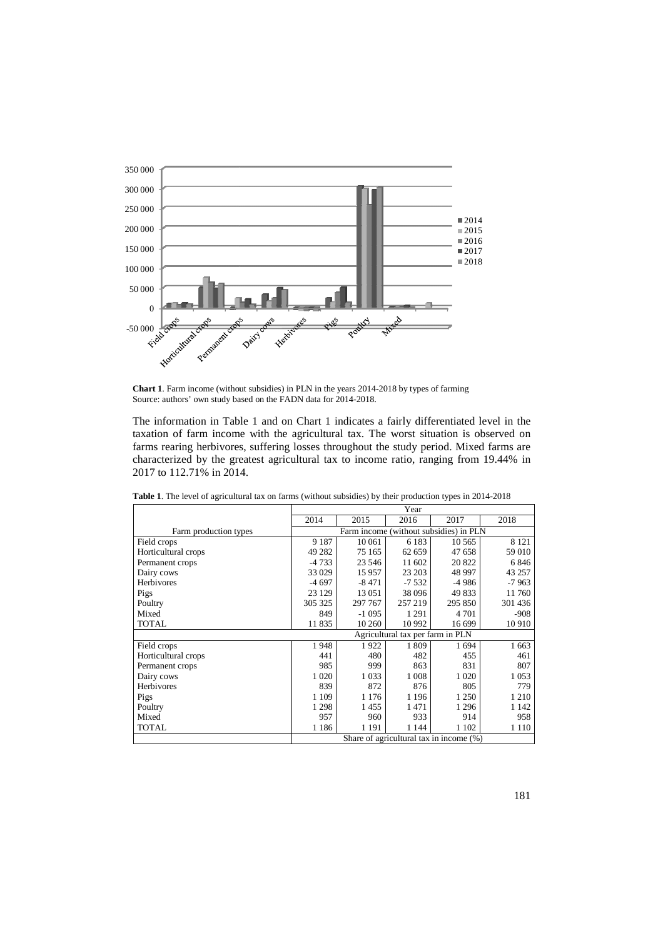

**Chart 1**. Farm income (without subsidies) in PLN in the years 2014 2014-2018 by types of farming Source: authors' own study based on the FADN data for 2014 2014-2018.

The information in Table 1 and on Chart 1 indicates a fairly differentiated level in the taxation of farm income with the agricultural tax. The worst situation is observed on farms rearing herbivores, suffering losses throughout the study period. Mixed farms are characterized by the greatest agricultural tax to income ratio, ranging from 19. 19.44% in 2017 to 112.71% in 2014.

|                       | Year                                    |         |         |         |         |  |
|-----------------------|-----------------------------------------|---------|---------|---------|---------|--|
|                       | 2014                                    | 2015    | 2016    | 2017    | 2018    |  |
| Farm production types | Farm income (without subsidies) in PLN  |         |         |         |         |  |
| Field crops           | 9 1 8 7                                 | 10 061  | 6 1 8 3 | 10 5 65 | 8 1 2 1 |  |
| Horticultural crops   | 49 282                                  | 75 165  | 62 659  | 47 658  | 59 010  |  |
| Permanent crops       | $-4733$                                 | 23 546  | 11 602  | 20 822  | 6846    |  |
| Dairy cows            | 33 0 29                                 | 15 957  | 23 203  | 48 997  | 43 257  |  |
| Herbivores            | $-4697$                                 | $-8471$ | $-7532$ | $-4986$ | $-7963$ |  |
| Pigs                  | 23 1 29                                 | 13 051  | 38 0 96 | 49 833  | 11760   |  |
| Poultry               | 305 325                                 | 297 767 | 257 219 | 295 850 | 301 436 |  |
| Mixed                 | 849                                     | $-1095$ | 1 2 9 1 | 4 7 0 1 | $-908$  |  |
| <b>TOTAL</b>          | 11 835                                  | 10 260  | 10 9 92 | 16 699  | 10 910  |  |
|                       | Agricultural tax per farm in PLN        |         |         |         |         |  |
| Field crops           | 1948                                    | 1922    | 1809    | 1694    | 1 6 6 3 |  |
| Horticultural crops   | 441                                     | 480     | 482     | 455     | 461     |  |
| Permanent crops       | 985                                     | 999     | 863     | 831     | 807     |  |
| Dairy cows            | 1 0 20                                  | 1 0 3 3 | 1 0 0 8 | 1 0 20  | 1 0 5 3 |  |
| Herbivores            | 839                                     | 872     | 876     | 805     | 779     |  |
| Pigs                  | 1 1 0 9                                 | 1 1 7 6 | 1 1 9 6 | 1 250   | 1 2 1 0 |  |
| Poultry               | 1 2 9 8                                 | 1455    | 1471    | 1 2 9 6 | 1 1 4 2 |  |
| Mixed                 | 957                                     | 960     | 933     | 914     | 958     |  |
| <b>TOTAL</b>          | 1 1 8 6                                 | 1 1 9 1 | 1 1 4 4 | 1 1 0 2 | 1 1 1 0 |  |
|                       | Share of agricultural tax in income (%) |         |         |         |         |  |

**Table 1**. The level of agricultural tax on farms (without subsidies) by their production types in 2014 2014-2018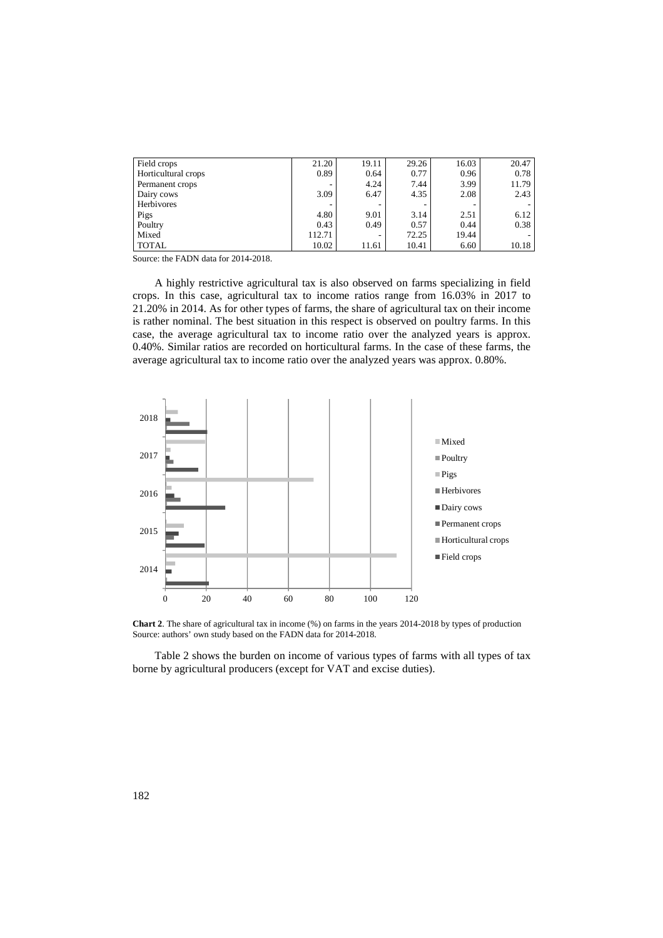| Field crops         | 21.20  | 19.11 | 29.26 | 16.03 | 20.47 |
|---------------------|--------|-------|-------|-------|-------|
| Horticultural crops | 0.89   | 0.64  | 0.77  | 0.96  | 0.78  |
| Permanent crops     |        | 4.24  | 7.44  | 3.99  | 11.79 |
| Dairy cows          | 3.09   | 6.47  | 4.35  | 2.08  | 2.43  |
| Herbivores          |        |       | ۰     |       |       |
| Pigs                | 4.80   | 9.01  | 3.14  | 2.51  | 6.12  |
| Poultry             | 0.43   | 0.49  | 0.57  | 0.44  | 0.38  |
| Mixed               | 112.71 |       | 72.25 | 19.44 |       |
| <b>TOTAL</b>        | 10.02  | 11.61 | 10.41 | 6.60  | 10.18 |

Source: the FADN data for 2014-2018.

A highly restrictive agricultural tax is also observed on farms specializing in field crops. In this case, agricultural tax to income ratios range from 16.03% in 2017 to 21.20% in 2014. As for other types of farms, the share of agricultural tax on their income is rather nominal. The best situation in this respect is observed on poultry farms. In this case, the average agricultural tax to income ratio over the analyzed years is approx. 0.40%. Similar ratios are recorded on horticultural farms. In the case of these farms, the average agricultural tax to income ratio over the analyzed years was approx. 0.80%.



**Chart 2**. The share of agricultural tax in income (%) on farms in the years 2014-2018 by types of production Source: authors' own study based on the FADN data for 2014-2018.

Table 2 shows the burden on income of various types of farms with all types of tax borne by agricultural producers (except for VAT and excise duties).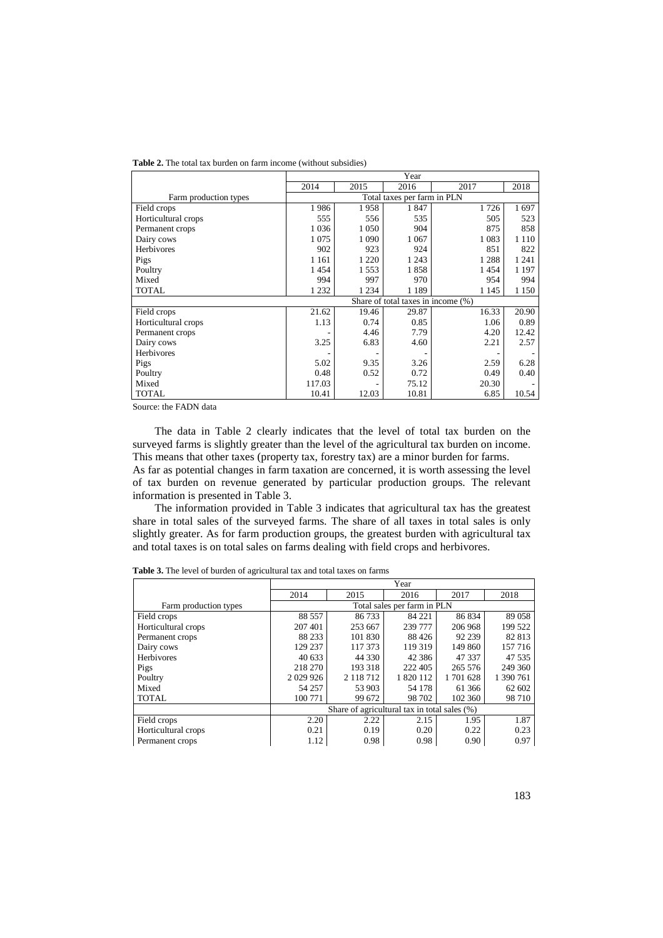|                       | Year                               |         |         |         |         |  |  |
|-----------------------|------------------------------------|---------|---------|---------|---------|--|--|
|                       | 2014                               | 2015    | 2016    | 2017    | 2018    |  |  |
| Farm production types | Total taxes per farm in PLN        |         |         |         |         |  |  |
| Field crops           | 1986                               | 1958    | 1847    | 1726    | 1697    |  |  |
| Horticultural crops   | 555                                | 556     | 535     | 505     | 523     |  |  |
| Permanent crops       | 1 0 3 6                            | 1 0 5 0 | 904     | 875     | 858     |  |  |
| Dairy cows            | 1075                               | 1 0 9 0 | 1 0 6 7 | 1 0 8 3 | 1 1 1 0 |  |  |
| Herbivores            | 902                                | 923     | 924     | 851     | 822     |  |  |
| Pigs                  | 1 1 6 1                            | 1 2 2 0 | 1 2 4 3 | 1 2 8 8 | 1 2 4 1 |  |  |
| Poultry               | 1454                               | 1553    | 1858    | 1454    | 1 1 9 7 |  |  |
| Mixed                 | 994                                | 997     | 970     | 954     | 994     |  |  |
| <b>TOTAL</b>          | 1 2 3 2                            | 1 2 3 4 | 1 1 8 9 | 1 1 4 5 | 1 1 5 0 |  |  |
|                       | Share of total taxes in income (%) |         |         |         |         |  |  |
| Field crops           | 21.62                              | 19.46   | 29.87   | 16.33   | 20.90   |  |  |
| Horticultural crops   | 1.13                               | 0.74    | 0.85    | 1.06    | 0.89    |  |  |
| Permanent crops       |                                    | 4.46    | 7.79    | 4.20    | 12.42   |  |  |
| Dairy cows            | 3.25                               | 6.83    | 4.60    | 2.21    | 2.57    |  |  |
| Herbivores            |                                    |         |         |         |         |  |  |
| Pigs                  | 5.02                               | 9.35    | 3.26    | 2.59    | 6.28    |  |  |
| Poultry               | 0.48                               | 0.52    | 0.72    | 0.49    | 0.40    |  |  |
| Mixed                 | 117.03                             |         | 75.12   | 20.30   |         |  |  |
| <b>TOTAL</b>          | 10.41                              | 12.03   | 10.81   | 6.85    | 10.54   |  |  |

**Table 2.** The total tax burden on farm income (without subsidies)

Source: the FADN data

The data in Table 2 clearly indicates that the level of total tax burden on the surveyed farms is slightly greater than the level of the agricultural tax burden on income. This means that other taxes (property tax, forestry tax) are a minor burden for farms.

As far as potential changes in farm taxation are concerned, it is worth assessing the level of tax burden on revenue generated by particular production groups. The relevant information is presented in Table 3.

The information provided in Table 3 indicates that agricultural tax has the greatest share in total sales of the surveyed farms. The share of all taxes in total sales is only slightly greater. As for farm production groups, the greatest burden with agricultural tax and total taxes is on total sales on farms dealing with field crops and herbivores.

|                       | Year                                         |               |           |         |           |  |
|-----------------------|----------------------------------------------|---------------|-----------|---------|-----------|--|
|                       | 2014                                         | 2015          | 2016      | 2017    | 2018      |  |
| Farm production types | Total sales per farm in PLN                  |               |           |         |           |  |
| Field crops           | 88 5 57                                      | 86733         | 84 221    | 86 834  | 89 058    |  |
| Horticultural crops   | 207 401                                      | 253 667       | 239 777   | 206 968 | 199 522   |  |
| Permanent crops       | 88 233                                       | 101 830       | 88 4 26   | 92 239  | 82 813    |  |
| Dairy cows            | 129 237                                      | 117 373       | 119 319   | 149 860 | 157716    |  |
| Herbivores            | 40 633                                       | 44 330        | 42 3 8 6  | 47 337  | 47 535    |  |
| Pigs                  | 218 270                                      | 193 318       | 222 405   | 265 576 | 249 360   |  |
| Poultry               | 2029926                                      | 2 1 1 8 7 1 2 | 1 820 112 | 1701628 | 1 390 761 |  |
| Mixed                 | 54 257                                       | 53 903        | 54 178    | 61 366  | 62 602    |  |
| <b>TOTAL</b>          | 100 771                                      | 99 672        | 98 702    | 102 360 | 98710     |  |
|                       | Share of agricultural tax in total sales (%) |               |           |         |           |  |
| Field crops           | 2.20                                         | 2.22          | 2.15      | 1.95    | 1.87      |  |
| Horticultural crops   | 0.21                                         | 0.19          | 0.20      | 0.22    | 0.23      |  |
| Permanent crops       | 1.12                                         | 0.98          | 0.98      | 0.90    | 0.97      |  |

**Table 3.** The level of burden of agricultural tax and total taxes on farms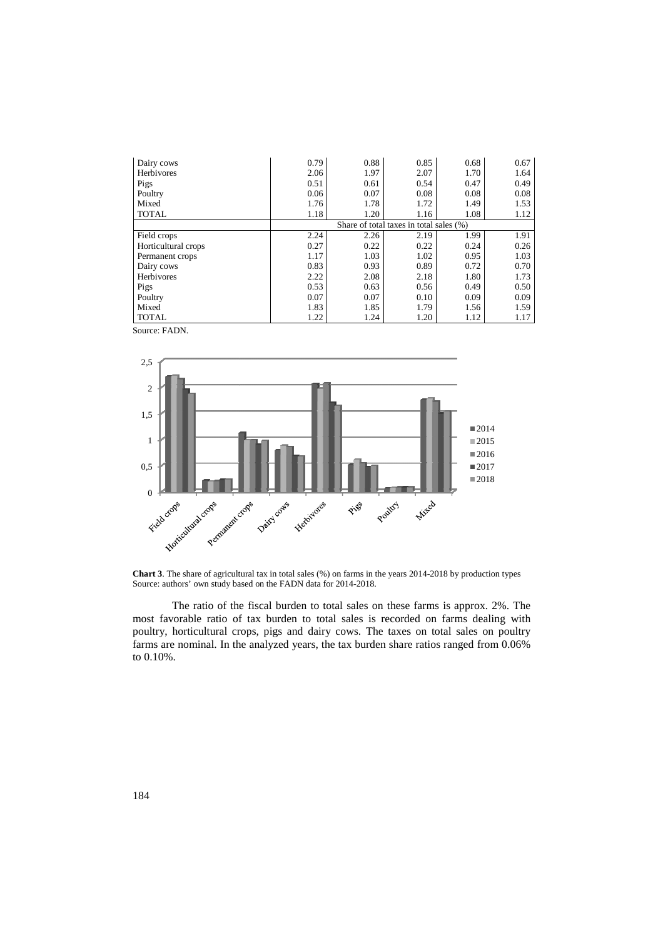| Dairy cows          | 0.79                                    | 0.88 | 0.85 | 0.68 | 0.67 |  |
|---------------------|-----------------------------------------|------|------|------|------|--|
| Herbivores          | 2.06                                    | 1.97 | 2.07 | 1.70 | 1.64 |  |
| Pigs                | 0.51                                    | 0.61 | 0.54 | 0.47 | 0.49 |  |
| Poultry             | 0.06                                    | 0.07 | 0.08 | 0.08 | 0.08 |  |
| Mixed               | 1.76                                    | 1.78 | 1.72 | 1.49 | 1.53 |  |
| <b>TOTAL</b>        | 1.18                                    | 1.20 | 1.16 | 1.08 | 1.12 |  |
|                     | Share of total taxes in total sales (%) |      |      |      |      |  |
| Field crops         | 2.24                                    | 2.26 | 2.19 | 1.99 | 1.91 |  |
| Horticultural crops | 0.27                                    | 0.22 | 0.22 | 0.24 | 0.26 |  |
| Permanent crops     | 1.17                                    | 1.03 | 1.02 | 0.95 | 1.03 |  |
| Dairy cows          | 0.83                                    | 0.93 | 0.89 | 0.72 | 0.70 |  |
| Herbivores          | 2.22                                    | 2.08 | 2.18 | 1.80 | 1.73 |  |
| Pigs                | 0.53                                    | 0.63 | 0.56 | 0.49 | 0.50 |  |
| Poultry             | 0.07                                    | 0.07 | 0.10 | 0.09 | 0.09 |  |
| Mixed               | 1.83                                    | 1.85 | 1.79 | 1.56 | 1.59 |  |
| <b>TOTAL</b>        | 1.22                                    | 1.24 | 1.20 | 1.12 | 1.17 |  |

Source: FADN.



**Chart 3**. The share of agricultural tax in total sales (%) on farms in the years 2014-2018 by production types Source: authors' own study based on the FADN data for 2014-2018.

The ratio of the fiscal burden to total sales on these farms is approx. 2%. The most favorable ratio of tax burden to total sales is recorded on farms dealing with poultry, horticultural crops, pigs and dairy cows. The taxes on total sales on poultry farms are nominal. In the analyzed years, the tax burden share ratios ranged from 0.06% to 0.10%.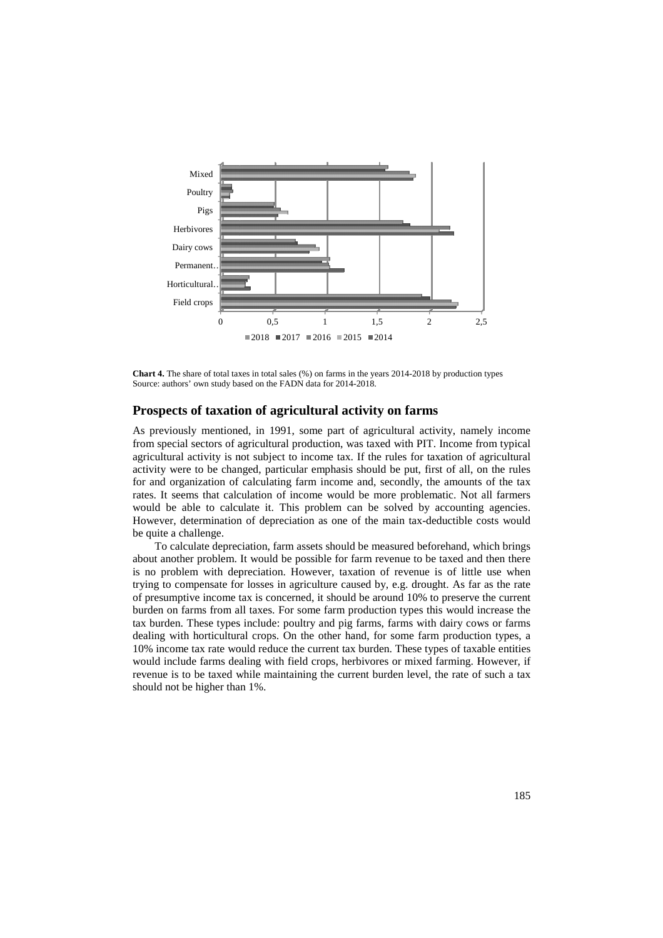

**Chart 4.** The share of total taxes in total sales (%) on farms in the years 2014-2018 by production types Source: authors' own study based on the FADN data for 2014 2014-2018.

## **Prospects of taxation of agricultural activity on farms**

As previously mentioned, in 1991, some part of agricultural activity, namely income from special sectors of agricultural production, was taxed with PIT. Income from typical agricultural activity is not subject to income tax. If the rules for taxation of agricultural activity were to be changed, particular emphasis should be put, first of all, on the rules activity were to be changed, particular emphasis should be put, first of all, on the rules<br>for and organization of calculating farm income and, secondly, the amounts of the tax rates. It seems that calculation of income would be more problematic. Not all farmers would be able to calculate it. This problem can be solved by accounting agencies. However, determination of depreciation as one of the main tax-deductible costs would be quite a challenge.

To calculate depreciation, farm assets should be measured befo beforehand, which brings about another problem. It would be possible for farm revenue to be taxed and then there is no problem with depreciation. However, taxation of revenue is of little use trying to compensate for losses in agriculture caused by, e.g. drought. As far as the rate of presumptive income tax is concerned, it should be around 10% to preserve the current burden on farms from all taxes. For some farm production types this would increase the tax burden. These types include: poultry and pig farms, farms with dairy cows or farms dealing with horticultural crops. On the other hand, for some farm production types, a 10% income tax rate would reduce the current tax burden. These types of taxable entities would include farms dealing with field crops, herbivores or mixed farming. However, if revenue is to be taxed while maintaining the current burden level, the rate of such a tax should not be higher than 1%.  $1.5$  2,5 1 2,6 1 1,5 2 2,5<br>  $\equiv$  2018  $\equiv$  2017  $\equiv$  2016  $\equiv$  2015  $\equiv$  2014<br> **a.14.4.** The share of total taxes in total sales (%) on farms in the years 2014-2018 by production tree: authors' own study based on the FAD which brings<br>and then there<br>ttle use when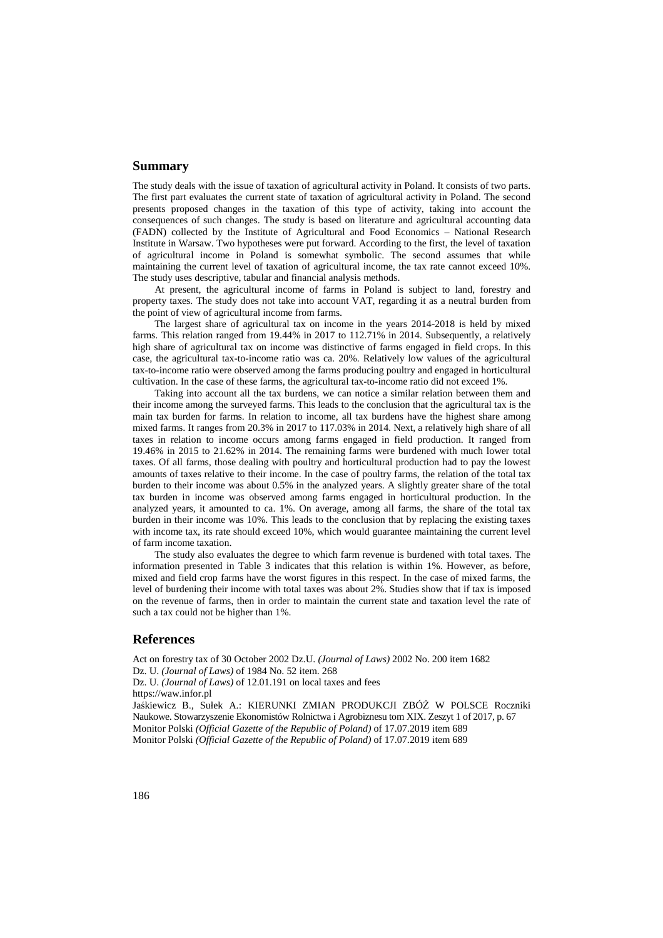## **Summary**

The study deals with the issue of taxation of agricultural activity in Poland. It consists of two parts. The first part evaluates the current state of taxation of agricultural activity in Poland. The second presents proposed changes in the taxation of this type of activity, taking into account the consequences of such changes. The study is based on literature and agricultural accounting data (FADN) collected by the Institute of Agricultural and Food Economics – National Research Institute in Warsaw. Two hypotheses were put forward. According to the first, the level of taxation of agricultural income in Poland is somewhat symbolic. The second assumes that while maintaining the current level of taxation of agricultural income, the tax rate cannot exceed 10%. The study uses descriptive, tabular and financial analysis methods.

At present, the agricultural income of farms in Poland is subject to land, forestry and property taxes. The study does not take into account VAT, regarding it as a neutral burden from the point of view of agricultural income from farms.

The largest share of agricultural tax on income in the years 2014-2018 is held by mixed farms. This relation ranged from 19.44% in 2017 to 112.71% in 2014. Subsequently, a relatively high share of agricultural tax on income was distinctive of farms engaged in field crops. In this case, the agricultural tax-to-income ratio was ca. 20%. Relatively low values of the agricultural tax-to-income ratio were observed among the farms producing poultry and engaged in horticultural cultivation. In the case of these farms, the agricultural tax-to-income ratio did not exceed 1%.

Taking into account all the tax burdens, we can notice a similar relation between them and their income among the surveyed farms. This leads to the conclusion that the agricultural tax is the main tax burden for farms. In relation to income, all tax burdens have the highest share among mixed farms. It ranges from 20.3% in 2017 to 117.03% in 2014. Next, a relatively high share of all taxes in relation to income occurs among farms engaged in field production. It ranged from 19.46% in 2015 to 21.62% in 2014. The remaining farms were burdened with much lower total taxes. Of all farms, those dealing with poultry and horticultural production had to pay the lowest amounts of taxes relative to their income. In the case of poultry farms, the relation of the total tax burden to their income was about 0.5% in the analyzed years. A slightly greater share of the total tax burden in income was observed among farms engaged in horticultural production. In the analyzed years, it amounted to ca. 1%. On average, among all farms, the share of the total tax burden in their income was 10%. This leads to the conclusion that by replacing the existing taxes with income tax, its rate should exceed 10%, which would guarantee maintaining the current level of farm income taxation.

The study also evaluates the degree to which farm revenue is burdened with total taxes. The information presented in Table 3 indicates that this relation is within 1%. However, as before, mixed and field crop farms have the worst figures in this respect. In the case of mixed farms, the level of burdening their income with total taxes was about 2%. Studies show that if tax is imposed on the revenue of farms, then in order to maintain the current state and taxation level the rate of such a tax could not be higher than 1%.

#### **References**

Act on forestry tax of 30 October 2002 Dz.U. *(Journal of Laws)* 2002 No. 200 item 1682 Dz. U. *(Journal of Laws)* of 1984 No. 52 item. 268 Dz. U. *(Journal of Laws)* of 12.01.191 on local taxes and fees https://waw.infor.pl Jaśkiewicz B., Sułek A.: KIERUNKI ZMIAN PRODUKCJI ZBÓŻ W POLSCE Roczniki Naukowe. Stowarzyszenie Ekonomistów Rolnictwa i Agrobiznesu tom XIX. Zeszyt 1 of 2017, p. 67 Monitor Polski *(Official Gazette of the Republic of Poland)* of 17.07.2019 item 689 Monitor Polski *(Official Gazette of the Republic of Poland)* of 17.07.2019 item 689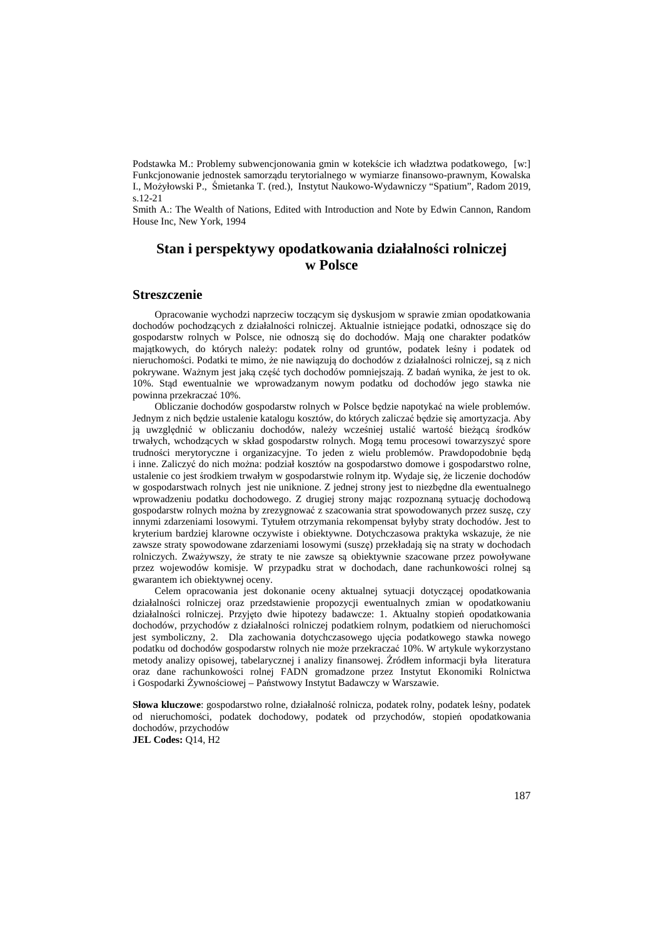Podstawka M.: Problemy subwencjonowania gmin w kotekście ich władztwa podatkowego, [w:] Funkcjonowanie jednostek samorządu terytorialnego w wymiarze finansowo-prawnym, Kowalska I., Możyłowski P., Śmietanka T. (red.), Instytut Naukowo-Wydawniczy "Spatium", Radom 2019, s.12-21

Smith A.: The Wealth of Nations, Edited with Introduction and Note by Edwin Cannon, Random House Inc, New York, 1994

# **Stan i perspektywy opodatkowania działalności rolniczej w Polsce**

### **Streszczenie**

Opracowanie wychodzi naprzeciw toczącym się dyskusjom w sprawie zmian opodatkowania dochodów pochodzących z działalności rolniczej. Aktualnie istniejące podatki, odnoszące się do gospodarstw rolnych w Polsce, nie odnoszą się do dochodów. Mają one charakter podatków majątkowych, do których należy: podatek rolny od gruntów, podatek leśny i podatek od nieruchomości. Podatki te mimo, że nie nawiązują do dochodów z działalności rolniczej, są z nich pokrywane. Ważnym jest jaką część tych dochodów pomniejszają. Z badań wynika, że jest to ok. 10%. Stąd ewentualnie we wprowadzanym nowym podatku od dochodów jego stawka nie powinna przekraczać 10%.

Obliczanie dochodów gospodarstw rolnych w Polsce będzie napotykać na wiele problemów. Jednym z nich będzie ustalenie katalogu kosztów, do których zaliczać będzie się amortyzacja. Aby ją uwzględnić w obliczaniu dochodów, należy wcześniej ustalić wartość bieżącą środków trwałych, wchodzących w skład gospodarstw rolnych. Mogą temu procesowi towarzyszyć spore trudności merytoryczne i organizacyjne. To jeden z wielu problemów. Prawdopodobnie będą i inne. Zaliczyć do nich można: podział kosztów na gospodarstwo domowe i gospodarstwo rolne, ustalenie co jest środkiem trwałym w gospodarstwie rolnym itp. Wydaje się, że liczenie dochodów w gospodarstwach rolnych jest nie uniknione. Z jednej strony jest to niezbędne dla ewentualnego wprowadzeniu podatku dochodowego. Z drugiej strony mając rozpoznaną sytuację dochodową gospodarstw rolnych można by zrezygnować z szacowania strat spowodowanych przez suszę, czy innymi zdarzeniami losowymi. Tytułem otrzymania rekompensat byłyby straty dochodów. Jest to kryterium bardziej klarowne oczywiste i obiektywne. Dotychczasowa praktyka wskazuje, że nie zawsze straty spowodowane zdarzeniami losowymi (suszę) przekładają się na straty w dochodach rolniczych. Zważywszy, że straty te nie zawsze są obiektywnie szacowane przez powoływane przez wojewodów komisje. W przypadku strat w dochodach, dane rachunkowości rolnej są gwarantem ich obiektywnej oceny.

Celem opracowania jest dokonanie oceny aktualnej sytuacji dotyczącej opodatkowania działalności rolniczej oraz przedstawienie propozycji ewentualnych zmian w opodatkowaniu działalności rolniczej. Przyjęto dwie hipotezy badawcze: 1. Aktualny stopień opodatkowania dochodów, przychodów z działalności rolniczej podatkiem rolnym, podatkiem od nieruchomości jest symboliczny, 2. Dla zachowania dotychczasowego ujęcia podatkowego stawka nowego podatku od dochodów gospodarstw rolnych nie może przekraczać 10%. W artykule wykorzystano metody analizy opisowej, tabelarycznej i analizy finansowej. Źródłem informacji była literatura oraz dane rachunkowości rolnej FADN gromadzone przez Instytut Ekonomiki Rolnictwa i Gospodarki Żywnościowej – Państwowy Instytut Badawczy w Warszawie.

**Słowa kluczowe**: gospodarstwo rolne, działalność rolnicza, podatek rolny, podatek leśny, podatek od nieruchomości, podatek dochodowy, podatek od przychodów, stopień opodatkowania dochodów, przychodów

**JEL Codes:** Q14, H2